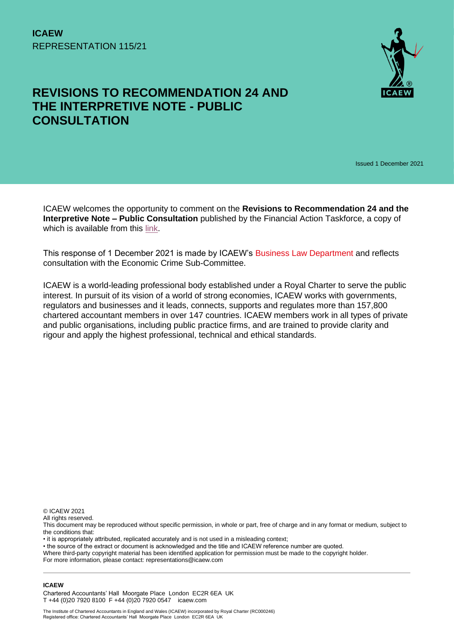

# **REVISIONS TO RECOMMENDATION 24 AND THE INTERPRETIVE NOTE - PUBLIC CONSULTATION**

Issued 1 December 2021

ICAEW welcomes the opportunity to comment on the **Revisions to Recommendation 24 and the Interpretive Note – Public Consultation** published by the Financial Action Taskforce, a copy of which is available from this [link.](https://www.fatf-gafi.org/publications/fatfrecommendations/documents/public-consultation-r24.html)

This response of 1 December 2021 is made by ICAEW's [Business Law Department](https://www.icaew.com/technical/legal-and-regulatory/information-law-and-guidance/business-law-department) and reflects consultation with the Economic Crime Sub-Committee.

ICAEW is a world-leading professional body established under a Royal Charter to serve the public interest. In pursuit of its vision of a world of strong economies, ICAEW works with governments, regulators and businesses and it leads, connects, supports and regulates more than 157,800 chartered accountant members in over 147 countries. ICAEW members work in all types of private and public organisations, including public practice firms, and are trained to provide clarity and rigour and apply the highest professional, technical and ethical standards.

© ICAEW 2021

All rights reserved.

This document may be reproduced without specific permission, in whole or part, free of charge and in any format or medium, subject to the conditions that:

• it is appropriately attributed, replicated accurately and is not used in a misleading context;

• the source of the extract or document is acknowledged and the title and ICAEW reference number are quoted.

Where third-party copyright material has been identified application for permission must be made to the copyright holder.

For more information, please contact: representations@icaew.com

#### **ICAEW**

Chartered Accountants' Hall Moorgate Place London EC2R 6EA UK T +44 (0)20 7920 8100 F +44 (0)20 7920 0547 icaew.com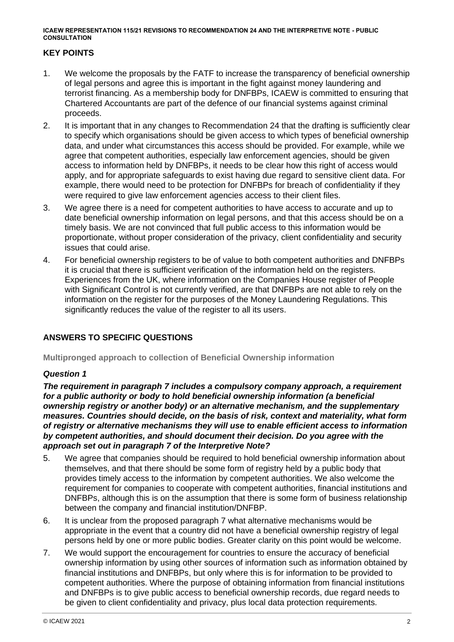# **KEY POINTS**

- 1. We welcome the proposals by the FATF to increase the transparency of beneficial ownership of legal persons and agree this is important in the fight against money laundering and terrorist financing. As a membership body for DNFBPs, ICAEW is committed to ensuring that Chartered Accountants are part of the defence of our financial systems against criminal proceeds.
- 2. It is important that in any changes to Recommendation 24 that the drafting is sufficiently clear to specify which organisations should be given access to which types of beneficial ownership data, and under what circumstances this access should be provided. For example, while we agree that competent authorities, especially law enforcement agencies, should be given access to information held by DNFBPs, it needs to be clear how this right of access would apply, and for appropriate safeguards to exist having due regard to sensitive client data. For example, there would need to be protection for DNFBPs for breach of confidentiality if they were required to give law enforcement agencies access to their client files.
- 3. We agree there is a need for competent authorities to have access to accurate and up to date beneficial ownership information on legal persons, and that this access should be on a timely basis. We are not convinced that full public access to this information would be proportionate, without proper consideration of the privacy, client confidentiality and security issues that could arise.
- 4. For beneficial ownership registers to be of value to both competent authorities and DNFBPs it is crucial that there is sufficient verification of the information held on the registers. Experiences from the UK, where information on the Companies House register of People with Significant Control is not currently verified, are that DNFBPs are not able to rely on the information on the register for the purposes of the Money Laundering Regulations. This significantly reduces the value of the register to all its users.

# **ANSWERS TO SPECIFIC QUESTIONS**

**Multipronged approach to collection of Beneficial Ownership information**

#### *Question 1*

*The requirement in paragraph 7 includes a compulsory company approach, a requirement for a public authority or body to hold beneficial ownership information (a beneficial ownership registry or another body) or an alternative mechanism, and the supplementary measures. Countries should decide, on the basis of risk, context and materiality, what form of registry or alternative mechanisms they will use to enable efficient access to information by competent authorities, and should document their decision. Do you agree with the approach set out in paragraph 7 of the Interpretive Note?*

- 5. We agree that companies should be required to hold beneficial ownership information about themselves, and that there should be some form of registry held by a public body that provides timely access to the information by competent authorities. We also welcome the requirement for companies to cooperate with competent authorities, financial institutions and DNFBPs, although this is on the assumption that there is some form of business relationship between the company and financial institution/DNFBP.
- 6. It is unclear from the proposed paragraph 7 what alternative mechanisms would be appropriate in the event that a country did not have a beneficial ownership registry of legal persons held by one or more public bodies. Greater clarity on this point would be welcome.
- 7. We would support the encouragement for countries to ensure the accuracy of beneficial ownership information by using other sources of information such as information obtained by financial institutions and DNFBPs, but only where this is for information to be provided to competent authorities. Where the purpose of obtaining information from financial institutions and DNFBPs is to give public access to beneficial ownership records, due regard needs to be given to client confidentiality and privacy, plus local data protection requirements.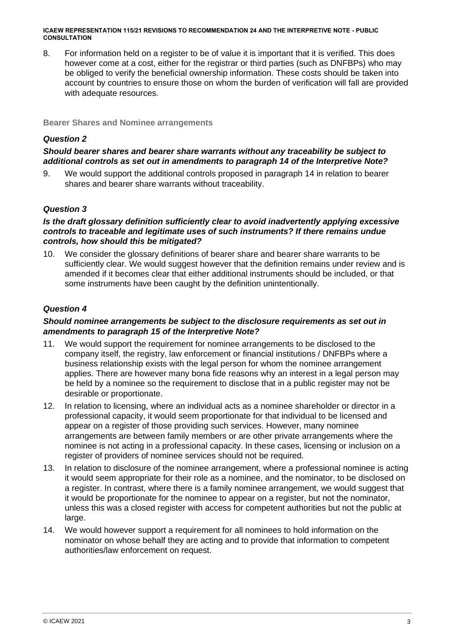8. For information held on a register to be of value it is important that it is verified. This does however come at a cost, either for the registrar or third parties (such as DNFBPs) who may be obliged to verify the beneficial ownership information. These costs should be taken into account by countries to ensure those on whom the burden of verification will fall are provided with adequate resources.

**Bearer Shares and Nominee arrangements** 

# *Question 2*

# *Should bearer shares and bearer share warrants without any traceability be subject to additional controls as set out in amendments to paragraph 14 of the Interpretive Note?*

9. We would support the additional controls proposed in paragraph 14 in relation to bearer shares and bearer share warrants without traceability.

#### *Question 3*

#### *Is the draft glossary definition sufficiently clear to avoid inadvertently applying excessive controls to traceable and legitimate uses of such instruments? If there remains undue controls, how should this be mitigated?*

10. We consider the glossary definitions of bearer share and bearer share warrants to be sufficiently clear. We would suggest however that the definition remains under review and is amended if it becomes clear that either additional instruments should be included, or that some instruments have been caught by the definition unintentionally.

#### *Question 4*

#### *Should nominee arrangements be subject to the disclosure requirements as set out in amendments to paragraph 15 of the Interpretive Note?*

- 11. We would support the requirement for nominee arrangements to be disclosed to the company itself, the registry, law enforcement or financial institutions / DNFBPs where a business relationship exists with the legal person for whom the nominee arrangement applies. There are however many bona fide reasons why an interest in a legal person may be held by a nominee so the requirement to disclose that in a public register may not be desirable or proportionate.
- 12. In relation to licensing, where an individual acts as a nominee shareholder or director in a professional capacity, it would seem proportionate for that individual to be licensed and appear on a register of those providing such services. However, many nominee arrangements are between family members or are other private arrangements where the nominee is not acting in a professional capacity. In these cases, licensing or inclusion on a register of providers of nominee services should not be required.
- 13. In relation to disclosure of the nominee arrangement, where a professional nominee is acting it would seem appropriate for their role as a nominee, and the nominator, to be disclosed on a register. In contrast, where there is a family nominee arrangement, we would suggest that it would be proportionate for the nominee to appear on a register, but not the nominator, unless this was a closed register with access for competent authorities but not the public at large.
- 14. We would however support a requirement for all nominees to hold information on the nominator on whose behalf they are acting and to provide that information to competent authorities/law enforcement on request.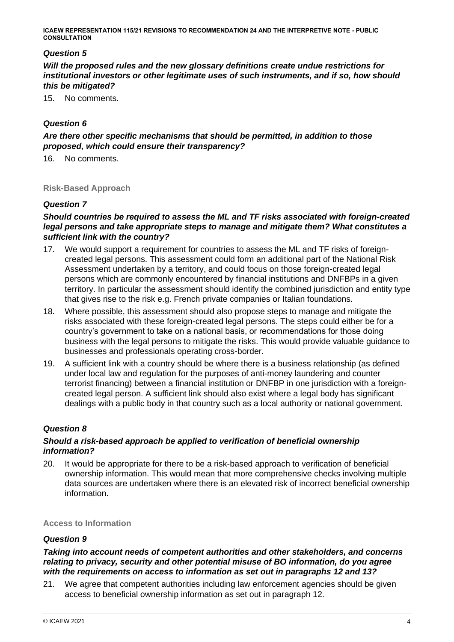# *Question 5*

*Will the proposed rules and the new glossary definitions create undue restrictions for institutional investors or other legitimate uses of such instruments, and if so, how should this be mitigated?*

15. No comments.

# *Question 6*

*Are there other specific mechanisms that should be permitted, in addition to those proposed, which could ensure their transparency?* 

16. No comments.

#### **Risk-Based Approach**

#### *Question 7*

### *Should countries be required to assess the ML and TF risks associated with foreign-created legal persons and take appropriate steps to manage and mitigate them? What constitutes a sufficient link with the country?*

- 17. We would support a requirement for countries to assess the ML and TF risks of foreigncreated legal persons. This assessment could form an additional part of the National Risk Assessment undertaken by a territory, and could focus on those foreign-created legal persons which are commonly encountered by financial institutions and DNFBPs in a given territory. In particular the assessment should identify the combined jurisdiction and entity type that gives rise to the risk e.g. French private companies or Italian foundations.
- 18. Where possible, this assessment should also propose steps to manage and mitigate the risks associated with these foreign-created legal persons. The steps could either be for a country's government to take on a national basis, or recommendations for those doing business with the legal persons to mitigate the risks. This would provide valuable guidance to businesses and professionals operating cross-border.
- 19. A sufficient link with a country should be where there is a business relationship (as defined under local law and regulation for the purposes of anti-money laundering and counter terrorist financing) between a financial institution or DNFBP in one jurisdiction with a foreigncreated legal person. A sufficient link should also exist where a legal body has significant dealings with a public body in that country such as a local authority or national government.

#### *Question 8*

#### *Should a risk-based approach be applied to verification of beneficial ownership information?*

20. It would be appropriate for there to be a risk-based approach to verification of beneficial ownership information. This would mean that more comprehensive checks involving multiple data sources are undertaken where there is an elevated risk of incorrect beneficial ownership information.

#### **Access to Information**

#### *Question 9*

#### *Taking into account needs of competent authorities and other stakeholders, and concerns relating to privacy, security and other potential misuse of BO information, do you agree with the requirements on access to information as set out in paragraphs 12 and 13?*

21. We agree that competent authorities including law enforcement agencies should be given access to beneficial ownership information as set out in paragraph 12.